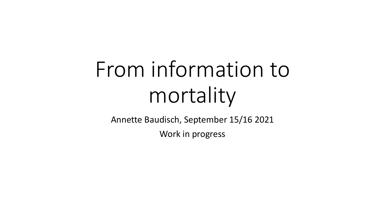# From information to mortality

Annette Baudisch, September 15/16 2021

Work in progress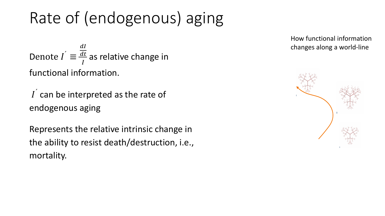# Rate of (endogenous) aging

Denote  $\vec{l} \equiv$  $\overline{a}$  $\frac{dt}{I}$  as relative change in functional information.

 $I<sup>2</sup>$  can be interpreted as the rate of endogenous aging

Represents the relative intrinsic change in the ability to resist death/destruction, i.e., mortality.

How functional information changes along a world-line

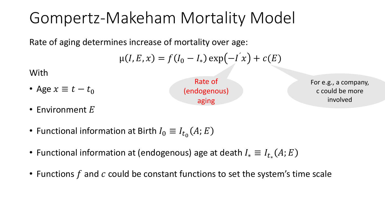## Gompertz-Makeham Mortality Model

Rate of aging determines increase of mortality over age:

$$
\mu(I, E, x) = f(I_0 - I_*) \exp(-I^{'}x) + c(E)
$$

With

• Age  $x \equiv t - t_0$ 

Rate of (endogenous) aging

For e.g., a company, c could be more involved

- Environment  $E$
- Functional information at Birth  $I_0 \equiv I_{t_0}(A;E)$
- Functional information at (endogenous) age at death  $I_*\equiv I_{t_*}(A;E)$
- Functions  $f$  and  $c$  could be constant functions to set the system's time scale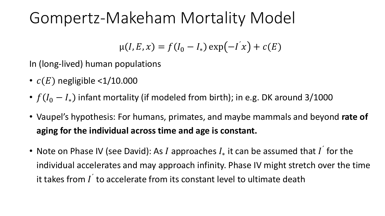## Gompertz-Makeham Mortality Model

$$
\mu(I, E, x) = f(I_0 - I_*) \exp(-I^{'x}) + c(E)
$$

In (long-lived) human populations

- $c(E)$  negligible <1/10.000
- $f(I_0 I_*)$  infant mortality (if modeled from birth); in e.g. DK around 3/1000
- Vaupel's hypothesis: For humans, primates, and maybe mammals and beyond **rate of aging for the individual across time and age is constant.**
- Note on Phase IV (see David): As I approaches  $I_*$  it can be assumed that I for the individual accelerates and may approach infinity. Phase IV might stretch over the time it takes from  $I^{'}$  to accelerate from its constant level to ultimate death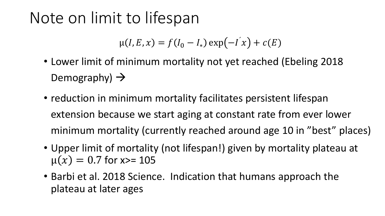### Note on limit to lifespan

$$
\mu(I, E, x) = f(I_0 - I_*) \exp(-I^{'} x) + c(E)
$$

- Lower limit of minimum mortality not yet reached (Ebeling 2018 Demography)  $\rightarrow$
- reduction in minimum mortality facilitates persistent lifespan extension because we start aging at constant rate from ever lower minimum mortality (currently reached around age 10 in "best" places)
- Upper limit of mortality (not lifespan!) given by mortality plateau at  $\mu(x) = 0.7$  for x>= 105
- Barbi et al. 2018 Science. Indication that humans approach the plateau at later ages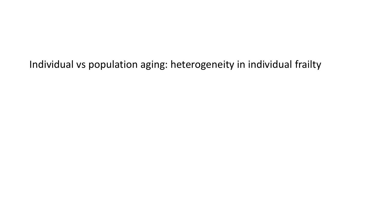Individual vs population aging: heterogeneity in individual frailty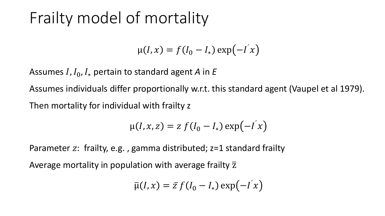# Frailty model of mortality

$$
\mu(I, x) = f(I_0 - I_*) \exp(-I^{\prime} x)
$$

Assumes  $I, I_0, I_*$  pertain to standard agent *A* in *E* 

Assumes individuals differ proportionally w.r.t. this standard agent (Vaupel et al 1979). Then mortality for individual with frailty z

$$
\mu(I, x, z) = z f(I_0 - I_*) \exp(-I^{\prime} x)
$$

Parameter z: frailty, e.g., gamma distributed;  $z=1$  standard frailty Average mortality in population with average frailty  $\overline{z}$ 

$$
\overline{\mu}(I,x) = \overline{z} f(I_0 - I_*) \exp(-I^{\prime} x)
$$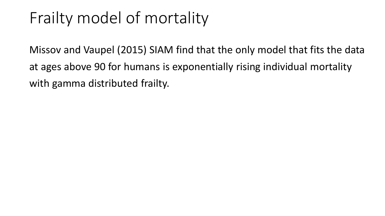# Frailty model of mortality

Missov and Vaupel (2015) SIAM find that the only model that fits the data at ages above 90 for humans is exponentially rising individual mortality with gamma distributed frailty.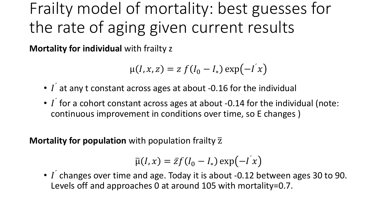Frailty model of mortality: best guesses for the rate of aging given current results

**Mortality for individual** with frailty z

$$
\mu(I, x, z) = z f(I_0 - I_*) \exp(-I^{\prime} x)
$$

- $\bullet$   $\overline{I}$  at any t constant across ages at about -0.16 for the individual
- $I$  for a cohort constant across ages at about -0.14 for the individual (note: continuous improvement in conditions over time, so E changes )

**Mortality for population** with population frailty  $\overline{z}$ 

$$
\overline{\mu}(I,x) = \overline{z}f(I_0 - I_*) \exp(-I^{\prime} x)
$$

 $\cdot$  *I* changes over time and age. Today it is about -0.12 between ages 30 to 90. Levels off and approaches 0 at around 105 with mortality=0.7.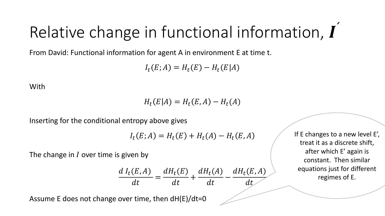# Relative change in functional information,  $\boldsymbol{I}$

From David: Functional information for agent A in environment E at time t.

 $I_t(E; A) = H_t(E) - H_t(E|A)$ 

With

 $H_t(E|A) = H_t(E,A) - H_t(A)$ 

Inserting for the conditional entropy above gives

$$
I_t(E; A) = H_t(E) + H_t(A) - H_t(E, A)
$$

The change in  $I$  over time is given by

$$
\frac{dI_t(E,A)}{dt} = \frac{dH_t(E)}{dt} + \frac{dH_t(A)}{dt} - \frac{dH_t(E,A)}{dt}
$$

Assume E does not change over time, then dH(E)/dt=0

If E changes to a new level E', treat it as a discrete shift, after which E' again is constant. Then similar equations just for different regimes of E.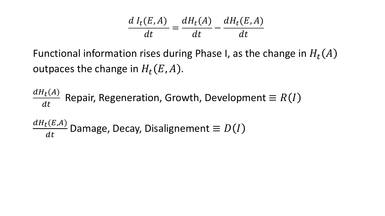| $dI_t(E,A)$ $dH_t(A)$ $dH_t(E,A)$ |    |    |
|-----------------------------------|----|----|
| dt                                | dt | dt |

Functional information rises during Phase I, as the change in  $H_t(A)$ outpaces the change in  $H_t(E, A)$ .

 $\frac{dH_t(A)}{dt}$  Repair, Regeneration, Growth, Development  $\equiv R(I)$  $\frac{dH_t(E,A)}{dt}$  Damage, Decay, Disalignement  $\equiv D(I)$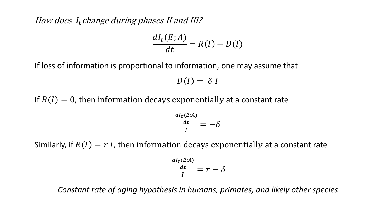#### How does  $I_t$  change during phases II and III?

$$
\frac{dI_t(E;A)}{dt} = R(I) - D(I)
$$

If loss of information is proportional to information, one may assume that

 $D(I) = \delta I$ 

If  $R(I) = 0$ , then information decays exponentially at a constant rate

$$
\frac{\frac{dI_t(E;A)}{dt}}{I}=-\delta
$$

Similarly, if  $R(I) = r I$ , then information decays exponentially at a constant rate

$$
\frac{\frac{dI_t(E;A)}{dt}}{I} = r - \delta
$$

*Constant rate of aging hypothesis in humans, primates, and likely other species*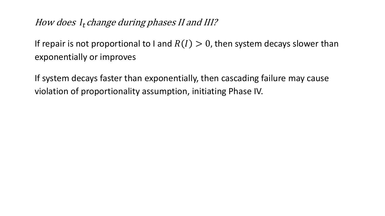#### How does I<sub>t</sub> change during phases II and III?

If repair is not proportional to I and  $R(I) > 0$ , then system decays slower than exponentially or improves

If system decays faster than exponentially, then cascading failure may cause violation of proportionality assumption, initiating Phase IV.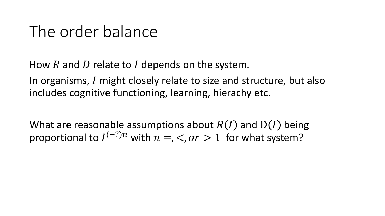# The order balance

How  $R$  and  $D$  relate to  $I$  depends on the system.

In organisms, I might closely relate to size and structure, but also includes cognitive functioning, learning, hierachy etc.

What are reasonable assumptions about  $R(I)$  and  $D(I)$  being proportional to  $I^{(-?)n}$  with  $n =$ ,  $\lt$ ,  $or > 1$  for what system?